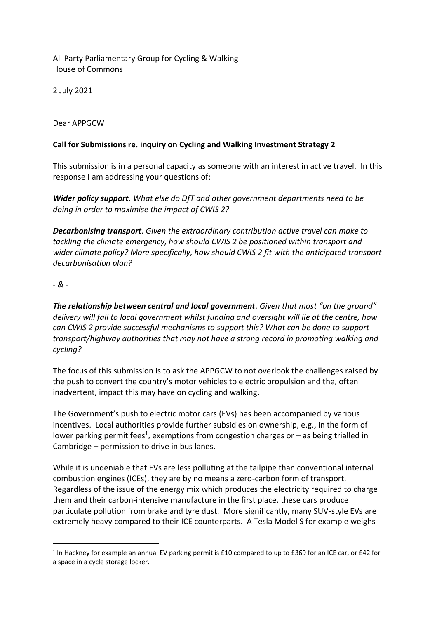All Party Parliamentary Group for Cycling & Walking House of Commons

2 July 2021

Dear APPGCW

## **Call for Submissions re. inquiry on Cycling and Walking Investment Strategy 2**

This submission is in a personal capacity as someone with an interest in active travel. In this response I am addressing your questions of:

*Wider policy support. What else do DfT and other government departments need to be doing in order to maximise the impact of CWIS 2?*

*Decarbonising transport. Given the extraordinary contribution active travel can make to tackling the climate emergency, how should CWIS 2 be positioned within transport and wider climate policy? More specifically, how should CWIS 2 fit with the anticipated transport decarbonisation plan?*

*- & -*

*The relationship between central and local government. Given that most "on the ground" delivery will fall to local government whilst funding and oversight will lie at the centre, how can CWIS 2 provide successful mechanisms to support this? What can be done to support transport/highway authorities that may not have a strong record in promoting walking and cycling?*

The focus of this submission is to ask the APPGCW to not overlook the challenges raised by the push to convert the country's motor vehicles to electric propulsion and the, often inadvertent, impact this may have on cycling and walking.

The Government's push to electric motor cars (EVs) has been accompanied by various incentives. Local authorities provide further subsidies on ownership, e.g., in the form of lower parking permit fees<sup>1</sup>, exemptions from congestion charges or  $-$  as being trialled in Cambridge – permission to drive in bus lanes.

While it is undeniable that EVs are less polluting at the tailpipe than conventional internal combustion engines (ICEs), they are by no means a zero-carbon form of transport. Regardless of the issue of the energy mix which produces the electricity required to charge them and their carbon-intensive manufacture in the first place, these cars produce particulate pollution from brake and tyre dust. More significantly, many SUV-style EVs are extremely heavy compared to their ICE counterparts. A Tesla Model S for example weighs

<sup>&</sup>lt;sup>1</sup> In Hackney for example an annual EV parking permit is £10 compared to up to £369 for an ICE car, or £42 for a space in a cycle storage locker.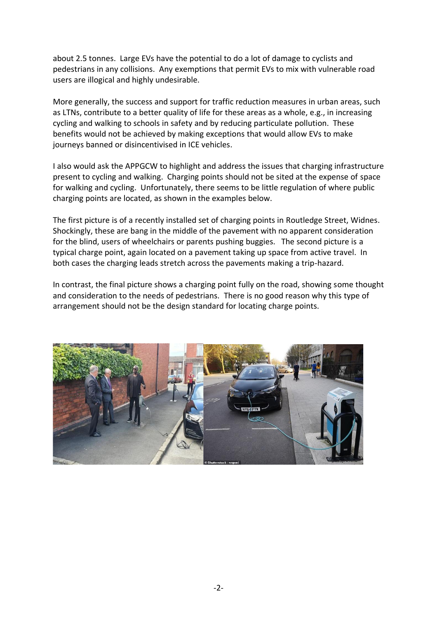about 2.5 tonnes. Large EVs have the potential to do a lot of damage to cyclists and pedestrians in any collisions. Any exemptions that permit EVs to mix with vulnerable road users are illogical and highly undesirable.

More generally, the success and support for traffic reduction measures in urban areas, such as LTNs, contribute to a better quality of life for these areas as a whole, e.g., in increasing cycling and walking to schools in safety and by reducing particulate pollution. These benefits would not be achieved by making exceptions that would allow EVs to make journeys banned or disincentivised in ICE vehicles.

I also would ask the APPGCW to highlight and address the issues that charging infrastructure present to cycling and walking. Charging points should not be sited at the expense of space for walking and cycling. Unfortunately, there seems to be little regulation of where public charging points are located, as shown in the examples below.

The first picture is of a recently installed set of charging points in Routledge Street, Widnes. Shockingly, these are bang in the middle of the pavement with no apparent consideration for the blind, users of wheelchairs or parents pushing buggies. The second picture is a typical charge point, again located on a pavement taking up space from active travel. In both cases the charging leads stretch across the pavements making a trip-hazard.

In contrast, the final picture shows a charging point fully on the road, showing some thought and consideration to the needs of pedestrians. There is no good reason why this type of arrangement should not be the design standard for locating charge points.